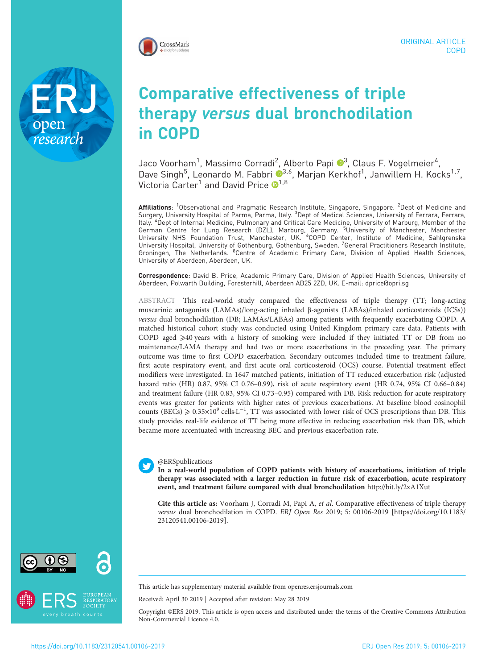

Comparative effectiveness of triple therapy versus dual bronchodilation in COPD

Jaco Voorham $^1$ , Massimo Corradi $^2$ , Alberto Papi  $\mathbf{O}^3$ , Claus F. Vogelmeier $^4$ , Dave Singh<sup>5</sup>, Leonardo M. Fabbri <sup>®3,6</sup>, Marjan Kerkhof<sup>1</sup>, Janwillem H. Kocks<sup>1,7</sup>, Victoria Carter<sup>[1](https://orcid.org/0000-0002-9728-9992)</sup> and David Price  $\mathbf{O}^{1,8}$ 

**Affiliations**: <sup>1</sup>Observational and Pragmatic Research Institute, Singapore, Singapore. <sup>2</sup>Dept of Medicine and Surgery, University Hospital of Parma, Parma, Italy. <sup>3</sup>Dept of Medical Sciences, University of Ferrara, Ferrara, Italy. <sup>4</sup> Dept of Internal Medicine, Pulmonary and Critical Care Medicine, University of Marburg, Member of the German Centre for Lung Research (DZL), Marburg, Germany. <sup>5</sup>University of Manchester, Manchester<br>University NHS Foundation Trust, Manchester, UK. <sup>6</sup>COPD Center, Institute of Medicine, Sahlgrenska University Hospital, University of Gothenburg, Gothenburg, Sweden. <sup>7</sup>General Practitioners Research Institute, Groningen, The Netherlands. <sup>8</sup>Centre of Academic Primary Care, Division of Applied Health Sciences, University of Aberdeen, Aberdeen, UK.

Correspondence: David B. Price, Academic Primary Care, Division of Applied Health Sciences, University of Aberdeen, Polwarth Building, Foresterhill, Aberdeen AB25 2ZD, UK. E-mail: [dprice@opri.sg](mailto:dprice@opri.sg)

ABSTRACT This real-world study compared the effectiveness of triple therapy (TT; long-acting muscarinic antagonists (LAMAs)/long-acting inhaled β-agonists (LABAs)/inhaled corticosteroids (ICSs)) versus dual bronchodilation (DB; LAMAs/LABAs) among patients with frequently exacerbating COPD. A matched historical cohort study was conducted using United Kingdom primary care data. Patients with COPD aged  $\geq 40$  years with a history of smoking were included if they initiated TT or DB from no maintenance/LAMA therapy and had two or more exacerbations in the preceding year. The primary outcome was time to first COPD exacerbation. Secondary outcomes included time to treatment failure, first acute respiratory event, and first acute oral corticosteroid (OCS) course. Potential treatment effect modifiers were investigated. In 1647 matched patients, initiation of TT reduced exacerbation risk (adjusted hazard ratio (HR) 0.87, 95% CI 0.76–0.99), risk of acute respiratory event (HR 0.74, 95% CI 0.66–0.84) and treatment failure (HR 0.83, 95% CI 0.73–0.95) compared with DB. Risk reduction for acute respiratory events was greater for patients with higher rates of previous exacerbations. At baseline blood eosinophil counts (BECs)  $\ge 0.35 \times 10^9$  cells·L<sup>-1</sup>, TT was associated with lower risk of OCS prescriptions than DB. This study provides real-life evidence of TT being more effective in reducing exacerbation risk than DB, which became more accentuated with increasing BEC and previous exacerbation rate.

### @ERSpublications

In a real-world population of COPD patients with history of exacerbations, initiation of triple therapy was associated with a larger reduction in future risk of exacerbation, acute respiratory event, and treatment failure compared with dual bronchodilation <http://bit.ly/2xA1Xut>

Cite this article as: Voorham J, Corradi M, Papi A, et al. Comparative effectiveness of triple therapy versus dual bronchodilation in COPD. ERJ Open Res 2019; 5: 00106-2019 [\[https://doi.org/10.1183/](https://doi.org/10.1183/23120541.00106-2019) [23120541.00106-2019\].](https://doi.org/10.1183/23120541.00106-2019)

research



This article has supplementary material available from<openres.ersjournals.com>

Received: April 30 2019 | Accepted after revision: May 28 2019

Copyright ©ERS 2019. This article is open access and distributed under the terms of the Creative Commons Attribution Non-Commercial Licence 4.0.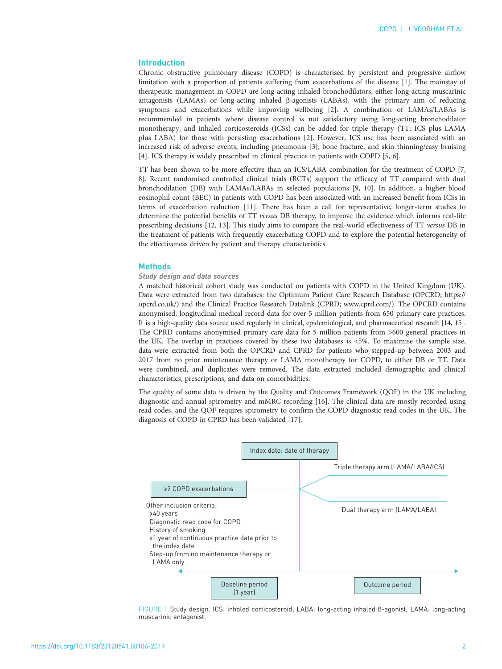# <span id="page-1-0"></span>Introduction

Chronic obstructive pulmonary disease (COPD) is characterised by persistent and progressive airflow limitation with a proportion of patients suffering from exacerbations of the disease [[1](#page-12-0)]. The mainstay of therapeutic management in COPD are long-acting inhaled bronchodilators, either long-acting muscarinic antagonists (LAMAs) or long-acting inhaled β-agonists (LABAs), with the primary aim of reducing symptoms and exacerbations while improving wellbeing [\[2\]](#page-12-0). A combination of LAMAs/LABAs is recommended in patients where disease control is not satisfactory using long-acting bronchodilator monotherapy, and inhaled corticosteroids (ICSs) can be added for triple therapy (TT; ICS plus LAMA plus LABA) for those with persisting exacerbations [[2\]](#page-12-0). However, ICS use has been associated with an increased risk of adverse events, including pneumonia [\[3](#page-12-0)], bone fracture, and skin thinning/easy bruising [[4\]](#page-12-0). ICS therapy is widely prescribed in clinical practice in patients with COPD [[5](#page-12-0), [6](#page-12-0)].

TT has been shown to be more effective than an ICS/LABA combination for the treatment of COPD [\[7,](#page-12-0) [8\]](#page-12-0). Recent randomised controlled clinical trials (RCTs) support the efficacy of TT compared with dual bronchodilation (DB) with LAMAs/LABAs in selected populations [\[9, 10](#page-12-0)]. In addition, a higher blood eosinophil count (BEC) in patients with COPD has been associated with an increased benefit from ICSs in terms of exacerbation reduction [\[11\]](#page-12-0). There has been a call for representative, longer-term studies to determine the potential benefits of TT versus DB therapy, to improve the evidence which informs real-life prescribing decisions [\[12, 13](#page-12-0)]. This study aims to compare the real-world effectiveness of TT versus DB in the treatment of patients with frequently exacerbating COPD and to explore the potential heterogeneity of the effectiveness driven by patient and therapy characteristics.

#### Methods

## Study design and data sources

A matched historical cohort study was conducted on patients with COPD in the United Kingdom (UK). Data were extracted from two databases: the Optimum Patient Care Research Database (OPCRD; [https://](https://opcrd.co.uk/) [opcrd.co.uk/](https://opcrd.co.uk/)) and the Clinical Practice Research Datalink (CPRD; [www.cprd.com/\)](http://www.cprd.com/). The OPCRD contains anonymised, longitudinal medical record data for over 5 million patients from 650 primary care practices. It is a high-quality data source used regularly in clinical, epidemiological, and pharmaceutical research [[14, 15\]](#page-12-0). The CPRD contains anonymised primary care data for 5 million patients from >600 general practices in the UK. The overlap in practices covered by these two databases is <5%. To maximise the sample size, data were extracted from both the OPCRD and CPRD for patients who stepped-up between 2003 and 2017 from no prior maintenance therapy or LAMA monotherapy for COPD, to either DB or TT. Data were combined, and duplicates were removed. The data extracted included demographic and clinical characteristics, prescriptions, and data on comorbidities.

The quality of some data is driven by the Quality and Outcomes Framework (QOF) in the UK including diagnostic and annual spirometry and mMRC recording [\[16\]](#page-12-0). The clinical data are mostly recorded using read codes, and the QOF requires spirometry to confirm the COPD diagnostic read codes in the UK. The diagnosis of COPD in CPRD has been validated [[17](#page-12-0)].



FIGURE 1 Study design. ICS: inhaled corticosteroid; LABA: long-acting inhaled β-agonist; LAMA: long-acting muscarinic antagonist.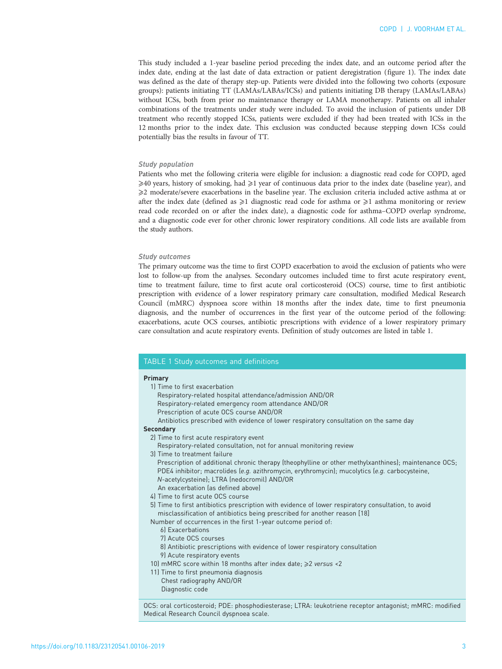This study included a 1-year baseline period preceding the index date, and an outcome period after the index date, ending at the last date of data extraction or patient deregistration [\(figure 1](#page-1-0)). The index date was defined as the date of therapy step-up. Patients were divided into the following two cohorts (exposure groups): patients initiating TT (LAMAs/LABAs/ICSs) and patients initiating DB therapy (LAMAs/LABAs) without ICSs, both from prior no maintenance therapy or LAMA monotherapy. Patients on all inhaler combinations of the treatments under study were included. To avoid the inclusion of patients under DB treatment who recently stopped ICSs, patients were excluded if they had been treated with ICSs in the 12 months prior to the index date. This exclusion was conducted because stepping down ICSs could potentially bias the results in favour of TT.

#### Study population

Patients who met the following criteria were eligible for inclusion: a diagnostic read code for COPD, aged ⩾40 years, history of smoking, had ⩾1 year of continuous data prior to the index date (baseline year), and ⩾2 moderate/severe exacerbations in the baseline year. The exclusion criteria included active asthma at or after the index date (defined as  $\geq 1$  diagnostic read code for asthma or  $\geq 1$  asthma monitoring or review read code recorded on or after the index date), a diagnostic code for asthma–COPD overlap syndrome, and a diagnostic code ever for other chronic lower respiratory conditions. All code lists are available from the study authors.

### Study outcomes

The primary outcome was the time to first COPD exacerbation to avoid the exclusion of patients who were lost to follow-up from the analyses. Secondary outcomes included time to first acute respiratory event, time to treatment failure, time to first acute oral corticosteroid (OCS) course, time to first antibiotic prescription with evidence of a lower respiratory primary care consultation, modified Medical Research Council (mMRC) dyspnoea score within 18 months after the index date, time to first pneumonia diagnosis, and the number of occurrences in the first year of the outcome period of the following: exacerbations, acute OCS courses, antibiotic prescriptions with evidence of a lower respiratory primary care consultation and acute respiratory events. Definition of study outcomes are listed in table 1.

## TABLE 1 Study outcomes and definitions

#### Primary

- 1) Time to first exacerbation Respiratory-related hospital attendance/admission AND/OR Respiratory-related emergency room attendance AND/OR
	- Prescription of acute OCS course AND/OR
- Antibiotics prescribed with evidence of lower respiratory consultation on the same day

# **Secondary**

- 2) Time to first acute respiratory event
- Respiratory-related consultation, not for annual monitoring review
- 3) Time to treatment failure
	- Prescription of additional chronic therapy (theophylline or other methylxanthines); maintenance OCS; PDE4 inhibitor; macrolides (e.g. azithromycin, erythromycin); mucolytics (e.g. carbocysteine, N-acetylcysteine); LTRA (nedocromil) AND/OR
- An exacerbation (as defined above)
- 4) Time to first acute OCS course
- 5) Time to first antibiotics prescription with evidence of lower respiratory consultation, to avoid misclassification of antibiotics being prescribed for another reason [18]

Number of occurrences in the first 1-year outcome period of:

- 6) Exacerbations
- 7) Acute OCS courses
- 8) Antibiotic prescriptions with evidence of lower respiratory consultation
- 9) Acute respiratory events
- 10) mMRC score within 18 months after index date;  $\geq$ 2 versus <2
- 11) Time to first pneumonia diagnosis Chest radiography AND/OR Diagnostic code

OCS: oral corticosteroid; PDE: phosphodiesterase; LTRA: leukotriene receptor antagonist; mMRC: modified Medical Research Council dyspnoea scale.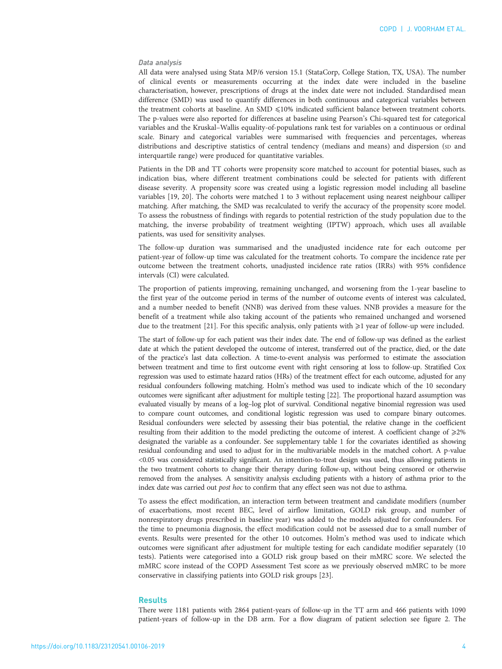## Data analysis

All data were analysed using Stata MP/6 version 15.1 (StataCorp, College Station, TX, USA). The number of clinical events or measurements occurring at the index date were included in the baseline characterisation, however, prescriptions of drugs at the index date were not included. Standardised mean difference (SMD) was used to quantify differences in both continuous and categorical variables between the treatment cohorts at baseline. An SMD  $\leq$ 10% indicated sufficient balance between treatment cohorts. The p-values were also reported for differences at baseline using Pearson's Chi-squared test for categorical variables and the Kruskal–Wallis equality-of-populations rank test for variables on a continuous or ordinal scale. Binary and categorical variables were summarised with frequencies and percentages, whereas distributions and descriptive statistics of central tendency (medians and means) and dispersion (sp and interquartile range) were produced for quantitative variables.

Patients in the DB and TT cohorts were propensity score matched to account for potential biases, such as indication bias, where different treatment combinations could be selected for patients with different disease severity. A propensity score was created using a logistic regression model including all baseline variables [\[19, 20](#page-12-0)]. The cohorts were matched 1 to 3 without replacement using nearest neighbour calliper matching. After matching, the SMD was recalculated to verify the accuracy of the propensity score model. To assess the robustness of findings with regards to potential restriction of the study population due to the matching, the inverse probability of treatment weighting (IPTW) approach, which uses all available patients, was used for sensitivity analyses.

The follow-up duration was summarised and the unadjusted incidence rate for each outcome per patient-year of follow-up time was calculated for the treatment cohorts. To compare the incidence rate per outcome between the treatment cohorts, unadjusted incidence rate ratios (IRRs) with 95% confidence intervals (CI) were calculated.

The proportion of patients improving, remaining unchanged, and worsening from the 1-year baseline to the first year of the outcome period in terms of the number of outcome events of interest was calculated, and a number needed to benefit (NNB) was derived from these values. NNB provides a measure for the benefit of a treatment while also taking account of the patients who remained unchanged and worsened due to the treatment [[21\]](#page-12-0). For this specific analysis, only patients with  $\geq 1$  year of follow-up were included.

The start of follow-up for each patient was their index date. The end of follow-up was defined as the earliest date at which the patient developed the outcome of interest, transferred out of the practice, died, or the date of the practice's last data collection. A time-to-event analysis was performed to estimate the association between treatment and time to first outcome event with right censoring at loss to follow-up. Stratified Cox regression was used to estimate hazard ratios (HRs) of the treatment effect for each outcome, adjusted for any residual confounders following matching. Holm's method was used to indicate which of the 10 secondary outcomes were significant after adjustment for multiple testing [\[22](#page-12-0)]. The proportional hazard assumption was evaluated visually by means of a log–log plot of survival. Conditional negative binomial regression was used to compare count outcomes, and conditional logistic regression was used to compare binary outcomes. Residual confounders were selected by assessing their bias potential, the relative change in the coefficient resulting from their addition to the model predicting the outcome of interest. A coefficient change of  $\geq 2\%$ designated the variable as a confounder. See [supplementary table 1](http://openres.ersjournals.com/lookup/doi/10.1183/23120541.00106-2019.figures-only#fig-data-supplementary-materials) for the covariates identified as showing residual confounding and used to adjust for in the multivariable models in the matched cohort. A p-value <0.05 was considered statistically significant. An intention-to-treat design was used, thus allowing patients in the two treatment cohorts to change their therapy during follow-up, without being censored or otherwise removed from the analyses. A sensitivity analysis excluding patients with a history of asthma prior to the index date was carried out post hoc to confirm that any effect seen was not due to asthma.

To assess the effect modification, an interaction term between treatment and candidate modifiers (number of exacerbations, most recent BEC, level of airflow limitation, GOLD risk group, and number of nonrespiratory drugs prescribed in baseline year) was added to the models adjusted for confounders. For the time to pneumonia diagnosis, the effect modification could not be assessed due to a small number of events. Results were presented for the other 10 outcomes. Holm's method was used to indicate which outcomes were significant after adjustment for multiple testing for each candidate modifier separately (10 tests). Patients were categorised into a GOLD risk group based on their mMRC score. We selected the mMRC score instead of the COPD Assessment Test score as we previously observed mMRC to be more conservative in classifying patients into GOLD risk groups [[23](#page-12-0)].

## **Results**

There were 1181 patients with 2864 patient-years of follow-up in the TT arm and 466 patients with 1090 patient-years of follow-up in the DB arm. For a flow diagram of patient selection see [figure 2](#page-4-0). The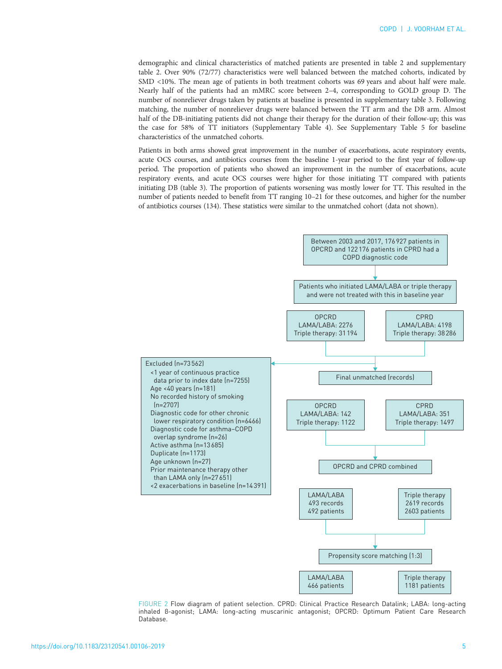<span id="page-4-0"></span>demographic and clinical characteristics of matched patients are presented in [table 2](#page-5-0) and [supplementary](http://openres.ersjournals.com/lookup/doi/10.1183/23120541.00106-2019.figures-only#fig-data-supplementary-materials) [table 2.](http://openres.ersjournals.com/lookup/doi/10.1183/23120541.00106-2019.figures-only#fig-data-supplementary-materials) Over 90% (72/77) characteristics were well balanced between the matched cohorts, indicated by SMD <10%. The mean age of patients in both treatment cohorts was 69 years and about half were male. Nearly half of the patients had an mMRC score between 2–4, corresponding to GOLD group D. The number of nonreliever drugs taken by patients at baseline is presented in [supplementary table 3.](http://openres.ersjournals.com/lookup/doi/10.1183/23120541.00106-2019.figures-only#fig-data-supplementary-materials) Following matching, the number of nonreliever drugs were balanced between the TT arm and the DB arm. Almost half of the DB-initiating patients did not change their therapy for the duration of their follow-up; this was the case for 58% of TT initiators ([Supplementary Table 4](http://openres.ersjournals.com/lookup/doi/10.1183/23120541.00106-2019.figures-only#fig-data-supplementary-materials)). See [Supplementary Table 5](http://openres.ersjournals.com/lookup/doi/10.1183/23120541.00106-2019.figures-only#fig-data-supplementary-materials) for baseline characteristics of the unmatched cohorts.

Patients in both arms showed great improvement in the number of exacerbations, acute respiratory events, acute OCS courses, and antibiotics courses from the baseline 1-year period to the first year of follow-up period. The proportion of patients who showed an improvement in the number of exacerbations, acute respiratory events, and acute OCS courses were higher for those initiating TT compared with patients initiating DB [\(table 3](#page-7-0)). The proportion of patients worsening was mostly lower for TT. This resulted in the number of patients needed to benefit from TT ranging 10–21 for these outcomes, and higher for the number of antibiotics courses (134). These statistics were similar to the unmatched cohort (data not shown).



FIGURE 2 Flow diagram of patient selection. CPRD: Clinical Practice Research Datalink; LABA: long-acting inhaled β-agonist; LAMA: long-acting muscarinic antagonist; OPCRD: Optimum Patient Care Research Database.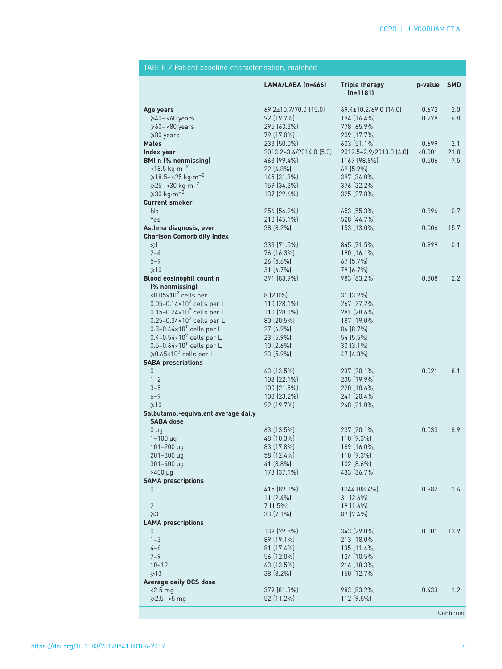<span id="page-5-0"></span>

| TABLE 2 Patient baseline characterisation, matched      |                             |                                     |         |            |
|---------------------------------------------------------|-----------------------------|-------------------------------------|---------|------------|
|                                                         | LAMA/LABA (n=466)           | <b>Triple therapy</b><br>$(n=1181)$ | p-value | <b>SMD</b> |
| Age years                                               | 69.2±10.7/70.0 (15.0)       | 69.4±10.2/69.0 (14.0)               | 0.672   | 2.0        |
| $\geqslant$ 40-<60 years                                | 92 (19.7%)                  | 194 (16.4%)                         | 0.278   | 6.8        |
| $\geqslant$ 60 - < 80 years                             | 295 (63.3%)                 | 778 (65.9%)                         |         |            |
| $\geqslant$ 80 years                                    | 79 (17.0%)                  | 209 (17.7%)                         |         |            |
| <b>Males</b>                                            | 233 (50.0%)                 | 603 (51.1%)                         | 0.699   | 2.1        |
| Index year                                              | 2013.2±3.4/2014.0 (5.0)     | 2012.5±2.9/2013.0 (4.0)             | < 0.001 | 21.8       |
| <b>BMI</b> n (% nonmissing)                             | 463 (99.4%)                 | 1167 (98.8%)                        | 0.506   | 7.5        |
| $<$ 18.5 kg·m <sup>-2</sup>                             | 22 (4.8%)                   | 69 (5.9%)                           |         |            |
| $\ge$ 18.5 – < 25 kg⋅m <sup>-2</sup>                    | 145 (31.3%)                 | 397 (34.0%)                         |         |            |
| $\geq 25 - 30 \text{ kg} \cdot \text{m}^{-2}$           | 159 (34.3%)                 | 376 (32.2%)                         |         |            |
| $\geqslant$ 30 kg·m <sup>-2</sup>                       | 137 (29.6%)                 | 325 (27.8%)                         |         |            |
| <b>Current smoker</b>                                   |                             |                                     |         |            |
| No                                                      | 256 (54.9%)                 | 653 (55.3%)                         | 0.896   | 0.7        |
| Yes                                                     | 210 (45.1%)                 | 528 (44.7%)                         |         |            |
| Asthma diagnosis, ever                                  | 38 (8.2%)                   | 153 (13.0%)                         | 0.006   | 15.7       |
| <b>Charlson Comorbidity Index</b>                       |                             |                                     |         |            |
| $\leq 1$                                                | 333 (71.5%)                 | 845 (71.5%)                         | 0.999   | 0.1        |
| $2 - 4$                                                 | 76 (16.3%)                  | 190 (16.1%)                         |         |            |
| $5 - 9$                                                 | 26 (5.6%)                   | $67(5.7\%)$                         |         |            |
| $\geq 10$                                               | 31 (6.7%)                   | 79 (6.7%)                           |         |            |
| Blood eosinophil count n                                | 391 (83.9%)                 | 983 (83.2%)                         | 0.808   | 2.2        |
| (% nonmissing)                                          |                             |                                     |         |            |
| <0.05 $\times$ 10 <sup>9</sup> cells per L              | $8(2.0\%)$                  | 31 [3.2%]                           |         |            |
| $0.05 - 0.14 \times 10^9$ cells per L                   | 110 (28.1%)                 | 267 [27.2%]                         |         |            |
| 0.15-0.24×10 <sup>9</sup> cells per L                   | 110 (28.1%)                 | 281 (28.6%)                         |         |            |
| $0.25 - 0.34 \times 10^9$ cells per L                   | 80 (20.5%)                  | 187 (19.0%)                         |         |            |
| $0.3 - 0.44 \times 10^9$ cells per L                    | $27(6.9\%)$                 | 86 (8.7%)                           |         |            |
| $0.4 - 0.54 \times 10^9$ cells per L                    | 23 (5.9%)                   | 54 (5.5%)                           |         |            |
| $0.5 - 0.64 \times 10^9$ cells per L                    | $10(2.6\%)$                 | 30 (3.1%)                           |         |            |
| ≥0.65×10 <sup>9</sup> cells per L                       | 23 (5.9%)                   | 47 (4.8%)                           |         |            |
| <b>SABA prescriptions</b>                               |                             |                                     |         |            |
| 0                                                       | 63 (13.5%)                  | 237 (20.1%)                         | 0.021   | 8.1        |
| $1 - 2$                                                 | 103 (22.1%)                 | 235 (19.9%)                         |         |            |
| $3 - 5$                                                 | 100 (21.5%)                 | 220 (18.6%)                         |         |            |
| $6 - 9$                                                 | 108 (23.2%)                 | 241 (20.4%)                         |         |            |
| >10                                                     | 92 (19.7%)                  | 248 (21.0%)                         |         |            |
| Salbutamol-equivalent average daily<br><b>SABA dose</b> |                             |                                     |         |            |
| $0 \mu$ g                                               | 63 (13.5%)                  | 237 (20.1%)                         | 0.033   | 8.9        |
| $1 - 100 \mu g$                                         | 48 (10.3%)                  | 110 (9.3%)                          |         |            |
| 101-200 µg                                              | 83 (17.8%)                  | 189 (16.0%)                         |         |            |
| 201-300 µg                                              | 58 (12.4%)                  | 110 (9.3%)                          |         |            |
| $301 - 400 \mu q$                                       | 41 (8.8%)                   | $102$ $(8.6\%)$                     |         |            |
| $>400 \mu g$                                            | 173 (37.1%)                 | 433 (36.7%)                         |         |            |
| <b>SAMA prescriptions</b>                               |                             |                                     |         |            |
| 0<br>$\mathbf{1}$                                       | 415 (89.1%)<br>$11 [2.4\%]$ | 1044 (88.4%)                        | 0.982   | 1.6        |
|                                                         |                             | 31 (2.6%)                           |         |            |
| $\overline{2}$                                          | $7(1.5\%)$                  | 19 (1.6%)                           |         |            |
| ≥3<br><b>LAMA prescriptions</b>                         | 33 (7.1%)                   | 87 (7.4%)                           |         |            |
| 0                                                       | 139 (29.8%)                 | 343 (29.0%)                         | 0.001   | 13.9       |
| $1 - 3$                                                 | 89 (19.1%)                  | 213 (18.0%)                         |         |            |
| 4-6                                                     | 81 (17.4%)                  | 135 (11.4%)                         |         |            |
| $7 - 9$                                                 | 56 (12.0%)                  | 124 (10.5%)                         |         |            |
| $10 - 12$                                               | 63 (13.5%)                  | 216 (18.3%)                         |         |            |
| $\geq 13$                                               | 38 (8.2%)                   | 150 (12.7%)                         |         |            |
| Average daily OCS dose                                  |                             |                                     |         |            |
| $< 2.5$ mg                                              | 379 (81.3%)                 | 983 (83.2%)                         | 0.433   | 1.2        |
| $≥2.5 - <5$ mg                                          | 52 (11.2%)                  | 112 (9.5%)                          |         |            |
|                                                         |                             |                                     |         |            |

# Continued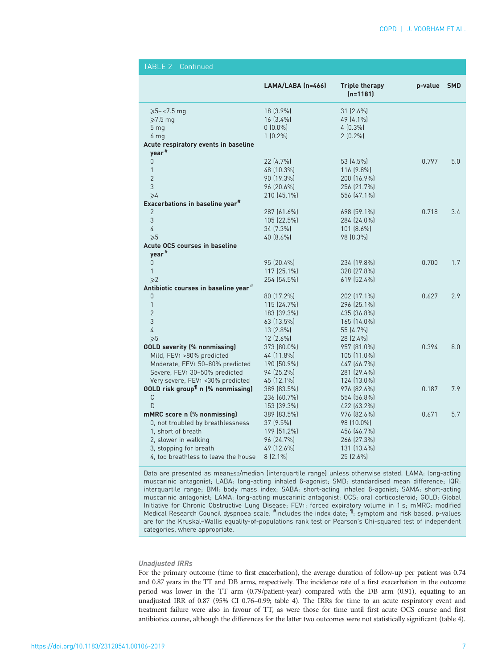| TABLE 2<br>Continued                                             |                           |                                     |         |            |
|------------------------------------------------------------------|---------------------------|-------------------------------------|---------|------------|
|                                                                  | LAMA/LABA (n=466)         | <b>Triple therapy</b><br>$(n=1181)$ | p-value | <b>SMD</b> |
| $\ge 5 - 1.5$ mg                                                 | $18(3.9\%)$               | $31(2.6\%)$                         |         |            |
| $\geqslant$ 7.5 mg                                               | $16(3.4\%)$               | 49 (4.1%)                           |         |            |
| 5 <sub>mq</sub>                                                  | $0(0.0\%)$                | $4(0.3\%)$                          |         |            |
| 6 <sub>mq</sub>                                                  | $1(0.2\%)$                | $2(0.2\%)$                          |         |            |
| Acute respiratory events in baseline<br>year <sup>#</sup>        |                           |                                     |         |            |
| 0                                                                | 22 (4.7%)                 | 53 (4.5%)                           | 0.797   | 5.0        |
| 1                                                                | 48 (10.3%)                | $116(9.8\%)$                        |         |            |
| $\overline{2}$                                                   | 90 (19.3%)                | 200 (16.9%)                         |         |            |
| 3                                                                | 96 (20.6%)                | 256 (21.7%)                         |         |            |
| $\geqslant$                                                      | 210 (45.1%)               | 556 (47.1%)                         |         |            |
| Exacerbations in baseline year <sup>#</sup>                      |                           |                                     |         |            |
| $\overline{2}$                                                   | 287 (61.6%)               | 698 (59.1%)                         | 0.718   | 3.4        |
| 3                                                                | 105 (22.5%)               | 284 (24.0%)                         |         |            |
| 4                                                                | 34 (7.3%)                 | $101(8.6\%)$                        |         |            |
| >5                                                               | 40 (8.6%)                 | 98 (8.3%)                           |         |            |
| <b>Acute OCS courses in baseline</b><br>$year$ <sup>#</sup>      |                           |                                     |         |            |
| 0                                                                | 95 (20.4%)                | 234 (19.8%)                         | 0.700   | 1.7        |
| 1                                                                | 117 (25.1%)               | 328 (27.8%)                         |         |            |
| $\geq$ 2                                                         | 254 (54.5%)               | 619 (52.4%)                         |         |            |
| Antibiotic courses in baseline year <sup>#</sup>                 |                           |                                     |         |            |
| 0                                                                | 80 (17.2%)                | 202 (17.1%)                         | 0.627   | 2.9        |
| $\mathbf{1}$                                                     | 115 (24.7%)               | 296 (25.1%)                         |         |            |
| $\overline{2}$                                                   | 183 (39.3%)               | 435 (36.8%)                         |         |            |
| 3                                                                | 63 (13.5%)                | 165 (14.0%)                         |         |            |
| $\overline{4}$                                                   | 13 (2.8%)                 | 55 (4.7%)                           |         |            |
| $\geqslant 5$                                                    | $12(2.6\%)$               | 28 (2.4%)                           |         | 8.0        |
| <b>GOLD severity (% nonmissing)</b><br>Mild, FEV1 >80% predicted | 373 (80.0%)<br>44 (11.8%) | 957 (81.0%)<br>105 (11.0%)          | 0.394   |            |
| Moderate, FEV <sub>1</sub> 50-80% predicted                      | 190 (50.9%)               | 447 (46.7%)                         |         |            |
| Severe, FEV1 30-50% predicted                                    | 94 (25.2%)                | 281 (29.4%)                         |         |            |
| Very severe, FEV1 <30% predicted                                 | 45 (12.1%)                | 124 (13.0%)                         |         |            |
| <b>GOLD risk group<sup>1</sup> n (% nonmissing)</b>              | 389 (83.5%)               | 976 (82.6%)                         | 0.187   | 7.9        |
| C                                                                | 236 (60.7%)               | 554 (56.8%)                         |         |            |
| D                                                                | 153 (39.3%)               | 422 (43.2%)                         |         |            |
| mMRC score n (% nonmissing)                                      | 389 (83.5%)               | 976 (82.6%)                         | 0.671   | 5.7        |
| 0, not troubled by breathlessness                                | 37 (9.5%)                 | 98 (10.0%)                          |         |            |
| 1, short of breath                                               | 199 (51.2%)               | 456 (46.7%)                         |         |            |
| 2, slower in walking                                             | 96 (24.7%)<br>49 (12.6%)  | 266 (27.3%)                         |         |            |
| 3, stopping for breath<br>4, too breathless to leave the house   | $8(2.1\%)$                | 131 (13.4%)<br>25 (2.6%)            |         |            |
|                                                                  |                           |                                     |         |            |

Data are presented as mean±SD/median (interquartile range) unless otherwise stated. LAMA: long-acting muscarinic antagonist; LABA: long-acting inhaled β-agonist; SMD: standardised mean difference; IQR: interquartile range; BMI: body mass index; SABA: short-acting inhaled β-agonist; SAMA: short-acting muscarinic antagonist; LAMA: long-acting muscarinic antagonist; OCS: oral corticosteroid; GOLD: Global Initiative for Chronic Obstructive Lung Disease; FEV1: forced expiratory volume in 1 s; mMRC: modified Medical Research Council dyspnoea scale. <sup>#</sup>includes the index date; <sup>1</sup> symptom and risk based. p-values are for the Kruskal–Wallis equality-of-populations rank test or Pearson's Chi-squared test of independent categories, where appropriate.

# Unadjusted IRRs

For the primary outcome (time to first exacerbation), the average duration of follow-up per patient was 0.74 and 0.87 years in the TT and DB arms, respectively. The incidence rate of a first exacerbation in the outcome period was lower in the TT arm (0.79/patient-year) compared with the DB arm (0.91), equating to an unadjusted IRR of 0.87 (95% CI 0.76–0.99; [table 4\)](#page-7-0). The IRRs for time to an acute respiratory event and treatment failure were also in favour of TT, as were those for time until first acute OCS course and first antibiotics course, although the differences for the latter two outcomes were not statistically significant [\(table 4](#page-7-0)).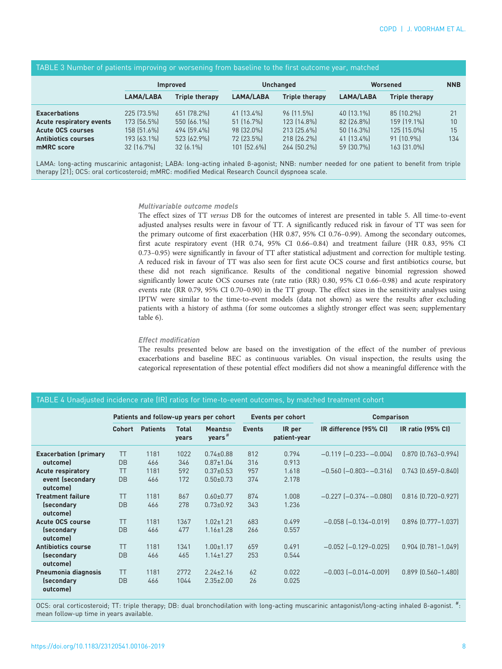| The LL of Hamber of patients improving or worseling from baseting to the mot battemic year, materied |                 |                       |                  |                       |            |                       |            |  |
|------------------------------------------------------------------------------------------------------|-----------------|-----------------------|------------------|-----------------------|------------|-----------------------|------------|--|
|                                                                                                      | <b>Improved</b> |                       | <b>Unchanged</b> |                       | Worsened   |                       | <b>NNB</b> |  |
|                                                                                                      | LAMA/LABA       | <b>Triple therapy</b> | <b>LAMA/LABA</b> | <b>Triple therapy</b> | LAMA/LABA  | <b>Triple therapy</b> |            |  |
| <b>Exacerbations</b>                                                                                 | 225 [73.5%]     | 651 (78.2%)           | 41 (13.4%)       | 96 (11.5%)            | 40 (13.1%) | 85 (10.2%)            | 21         |  |
| Acute respiratory events                                                                             | 173 (56.5%)     | 550 (66.1%)           | 51 (16.7%)       | 123 (14.8%)           | 82 (26.8%) | 159 (19.1%)           | 10         |  |
| <b>Acute OCS courses</b>                                                                             | 158 (51.6%)     | 494 (59.4%)           | 98 (32.0%)       | 213 (25.6%)           | 50 (16.3%) | 125 (15.0%)           | 15         |  |
| <b>Antibiotics courses</b>                                                                           | 193 (63.1%)     | 523 (62.9%)           | 72 (23.5%)       | 218 (26.2%)           | 41 (13.4%) | $91$ [10.9%]          | 134        |  |
| mMRC score                                                                                           | 32 (16.7%)      | $32[6.1\%]$           | 101 (52.6%)      | 264 (50.2%)           | 59 (30.7%) | 163 [31.0%]           |            |  |

LAMA: long-acting muscarinic antagonist; LABA: long-acting inhaled β-agonist; NNB: number needed for one patient to benefit from triple therapy [21]; OCS: oral corticosteroid; mMRC: modified Medical Research Council dyspnoea scale.

### Multivariable outcome models

<span id="page-7-0"></span>TABLE 3 Number of patients improving or worsening from baseline to the first outcome year, matched

The effect sizes of TT versus DB for the outcomes of interest are presented in [table 5](#page-8-0). All time-to-event adjusted analyses results were in favour of TT. A significantly reduced risk in favour of TT was seen for the primary outcome of first exacerbation (HR 0.87, 95% CI 0.76–0.99). Among the secondary outcomes, first acute respiratory event (HR 0.74, 95% CI 0.66–0.84) and treatment failure (HR 0.83, 95% CI 0.73–0.95) were significantly in favour of TT after statistical adjustment and correction for multiple testing. A reduced risk in favour of TT was also seen for first acute OCS course and first antibiotics course, but these did not reach significance. Results of the conditional negative binomial regression showed significantly lower acute OCS courses rate (rate ratio (RR) 0.80, 95% CI 0.66–0.98) and acute respiratory events rate (RR 0.79, 95% CI 0.70–0.90) in the TT group. The effect sizes in the sensitivity analyses using IPTW were similar to the time-to-event models (data not shown) as were the results after excluding patients with a history of asthma (for some outcomes a slightly stronger effect was seen; [supplementary](http://openres.ersjournals.com/lookup/doi/10.1183/23120541.00106-2019.figures-only#fig-data-supplementary-materials) [table 6\)](http://openres.ersjournals.com/lookup/doi/10.1183/23120541.00106-2019.figures-only#fig-data-supplementary-materials).

### Effect modification

The results presented below are based on the investigation of the effect of the number of previous exacerbations and baseline BEC as continuous variables. On visual inspection, the results using the categorical representation of these potential effect modifiers did not show a meaningful difference with the

# TABLE 4 Unadjusted incidence rate (IR) ratios for time-to-event outcomes, by matched treatment cohort

|                                            | Patients and follow-up years per cohort |                 |                       | Events per cohort             |               | <b>Comparison</b>      |                             |                           |
|--------------------------------------------|-----------------------------------------|-----------------|-----------------------|-------------------------------|---------------|------------------------|-----------------------------|---------------------------|
|                                            | Cohort                                  | <b>Patients</b> | <b>Total</b><br>years | Meantsp<br>years <sup>#</sup> | <b>Events</b> | IR per<br>patient-year | IR difference (95% CI)      | IR ratio (95% CI)         |
| <b>Exacerbation (primary</b>               | ТT                                      | 1181            | 1022                  | $0.74 \pm 0.88$               | 812           | 0.794                  | $-0.119$ $[-0.233 - 0.004]$ | 0.870 (0.763-0.994)       |
| outcome)                                   | <b>DB</b>                               | 466             | 346                   | $0.87 \pm 1.04$               | 316           | 0.913                  |                             |                           |
| <b>Acute respiratory</b>                   | <b>TT</b>                               | 1181            | 592                   | $0.37 \pm 0.53$               | 957           | 1.618                  | $-0.560$ $[-0.803 - 0.316]$ | $0.743$ $[0.659 - 0.840]$ |
| event (secondary<br>outcome)               | <b>DB</b>                               | 466             | 172                   | $0.50 + 0.73$                 | 374           | 2.178                  |                             |                           |
| <b>Treatment failure</b>                   | TT                                      | 1181            | 867                   | $0.60 \pm 0.77$               | 874           | 1.008                  | $-0.227$ $[-0.374 - 0.080]$ | $0.816$ $(0.720 - 0.927)$ |
| <i>(secondary</i><br>outcome)              | <b>DB</b>                               | 466             | 278                   | $0.73 \pm 0.92$               | 343           | 1.236                  |                             |                           |
| <b>Acute OCS course</b>                    | ТT                                      | 1181            | 1367                  | $1.02 \pm 1.21$               | 683           | 0.499                  | $-0.058$ $[-0.134 - 0.019]$ | $0.896$ $[0.777 - 1.037]$ |
| <i><u><b>Secondary</b></u></i><br>outcomel | <b>DB</b>                               | 466             | 477                   | $1.16 \pm 1.28$               | 266           | 0.557                  |                             |                           |
| <b>Antibiotics course</b>                  | <b>TT</b>                               | 1181            | 1341                  | $1.00 \pm 1.17$               | 659           | 0.491                  | $-0.052$ $[-0.129 - 0.025]$ | $0.904$ $(0.781 - 1.049)$ |
| <i>(secondary</i><br>outcome)              | <b>DB</b>                               | 466             | 465                   | $1.14 \pm 1.27$               | 253           | 0.544                  |                             |                           |
| Pneumonia diagnosis                        | <b>TT</b>                               | 1181            | 2772                  | $2.24 \pm 2.16$               | 62            | 0.022                  | $-0.003$ $[-0.014 - 0.009]$ | $0.899$ $[0.560 - 1.480]$ |
| <i>(secondary</i><br>outcome)              | <b>DB</b>                               | 466             | 1044                  | $2.35 \pm 2.00$               | 26            | 0.025                  |                             |                           |

OCS: oral corticosteroid; TT: triple therapy; DB: dual bronchodilation with long-acting muscarinic antagonist/long-acting inhaled β-agonist. # : mean follow-up time in years available.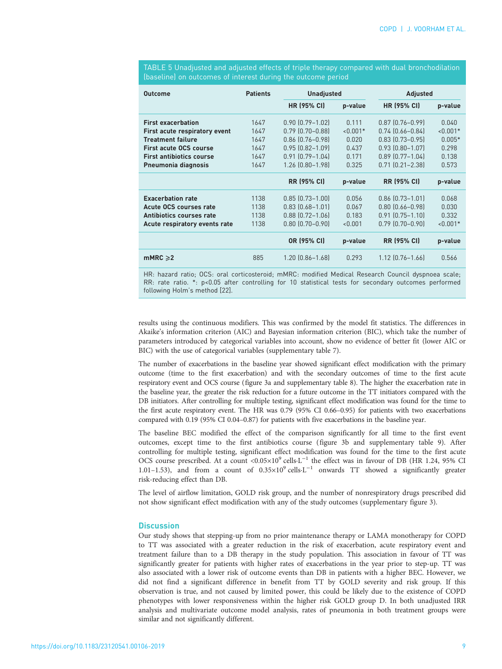| Outcome                         | <b>Patients</b> | <b>Unadjusted</b>      |            | <b>Adjusted</b>        |            |  |
|---------------------------------|-----------------|------------------------|------------|------------------------|------------|--|
|                                 |                 | <b>HR (95% CI)</b>     | p-value    | <b>HR (95% CI)</b>     | p-value    |  |
| <b>First exacerbation</b>       | 1647            | $0.90$ $(0.79 - 1.02)$ | 0.111      | $0.87$ $[0.76 - 0.99]$ | 0.040      |  |
| First acute respiratory event   | 1647            | $0.79$ $[0.70 - 0.88]$ | $< 0.001*$ | $0.74$ $[0.66 - 0.84]$ | $< 0.001*$ |  |
| <b>Treatment failure</b>        | 1647            | $0.86$ $[0.76 - 0.98]$ | 0.020      | $0.83$ $[0.73 - 0.95]$ | $0.005*$   |  |
| <b>First acute OCS course</b>   | 1647            | $0.95$ $[0.82 - 1.09]$ | 0.437      | $0.93$ $[0.80 - 1.07]$ | 0.298      |  |
| <b>First antibiotics course</b> | 1647            | $0.91$ $[0.79 - 1.04]$ | 0.171      | $0.89$ $[0.77 - 1.04]$ | 0.138      |  |
| Pneumonia diagnosis             | 1647            | 1.26 (0.80-1.98)       | 0.325      | $0.71$ $[0.21 - 2.38]$ | 0.573      |  |
|                                 |                 | <b>RR (95% CI)</b>     | p-value    | <b>RR (95% CI)</b>     | p-value    |  |
| <b>Exacerbation rate</b>        | 1138            | $0.85$ $[0.73 - 1.00]$ | 0.056      | $0.86$ $[0.73 - 1.01]$ | 0.068      |  |
| Acute OCS courses rate          | 1138            | $0.83$ $[0.68 - 1.01]$ | 0.067      | $0.80$ $[0.66 - 0.98]$ | 0.030      |  |
| Antibiotics courses rate        | 1138            | $0.88$ $[0.72 - 1.06]$ | 0.183      | $0.91$ $[0.75 - 1.10]$ | 0.332      |  |
| Acute respiratory events rate   | 1138            | $0.80$ $(0.70 - 0.90)$ | < 0.001    | $0.79$ $[0.70 - 0.90]$ | $< 0.001*$ |  |
|                                 |                 | OR (95% CI)            | p-value    | <b>RR (95% CI)</b>     | p-value    |  |
| $mMRC \geq 2$                   | 885             | $1.20$ $(0.86 - 1.68)$ | 0.293      | $1.12$ $[0.76 - 1.66]$ | 0.566      |  |

<span id="page-8-0"></span>TABLE 5 Unadjusted and adjusted effects of triple therapy compared with dual bronchodilation (baseline) on outcomes of interest during the outcome period

HR: hazard ratio; OCS: oral corticosteroid; mMRC: modified Medical Research Council dyspnoea scale; RR: rate ratio. \*: p<0.05 after controlling for 10 statistical tests for secondary outcomes performed following Holm's method [22].

results using the continuous modifiers. This was confirmed by the model fit statistics. The differences in Akaike's information criterion (AIC) and Bayesian information criterion (BIC), which take the number of parameters introduced by categorical variables into account, show no evidence of better fit (lower AIC or BIC) with the use of categorical variables [\(supplementary table 7](http://openres.ersjournals.com/lookup/doi/10.1183/23120541.00106-2019.figures-only#fig-data-supplementary-materials)).

The number of exacerbations in the baseline year showed significant effect modification with the primary outcome (time to the first exacerbation) and with the secondary outcomes of time to the first acute respiratory event and OCS course [\(figure 3a](#page-9-0) and [supplementary table 8](http://openres.ersjournals.com/lookup/doi/10.1183/23120541.00106-2019.figures-only#fig-data-supplementary-materials)). The higher the exacerbation rate in the baseline year, the greater the risk reduction for a future outcome in the TT initiators compared with the DB initiators. After controlling for multiple testing, significant effect modification was found for the time to the first acute respiratory event. The HR was 0.79 (95% CI 0.66–0.95) for patients with two exacerbations compared with 0.19 (95% CI 0.04–0.87) for patients with five exacerbations in the baseline year.

The baseline BEC modified the effect of the comparison significantly for all time to the first event outcomes, except time to the first antibiotics course ([figure 3b](#page-9-0) and [supplementary table 9\)](http://openres.ersjournals.com/lookup/doi/10.1183/23120541.00106-2019.figures-only#fig-data-supplementary-materials). After controlling for multiple testing, significant effect modification was found for the time to the first acute OCS course prescribed. At a count <0.05×109 cells·L−<sup>1</sup> the effect was in favour of DB (HR 1.24, 95% CI 1.01–1.53), and from a count of 0.35×109 cells·L−<sup>1</sup> onwards TT showed a significantly greater risk-reducing effect than DB.

The level of airflow limitation, GOLD risk group, and the number of nonrespiratory drugs prescribed did not show significant effect modification with any of the study outcomes [\(supplementary figure 3](http://openres.ersjournals.com/lookup/doi/10.1183/23120541.00106-2019.figures-only#fig-data-supplementary-materials)).

### **Discussion**

Our study shows that stepping-up from no prior maintenance therapy or LAMA monotherapy for COPD to TT was associated with a greater reduction in the risk of exacerbation, acute respiratory event and treatment failure than to a DB therapy in the study population. This association in favour of TT was significantly greater for patients with higher rates of exacerbations in the year prior to step-up. TT was also associated with a lower risk of outcome events than DB in patients with a higher BEC. However, we did not find a significant difference in benefit from TT by GOLD severity and risk group. If this observation is true, and not caused by limited power, this could be likely due to the existence of COPD phenotypes with lower responsiveness within the higher risk GOLD group D. In both unadjusted IRR analysis and multivariate outcome model analysis, rates of pneumonia in both treatment groups were similar and not significantly different.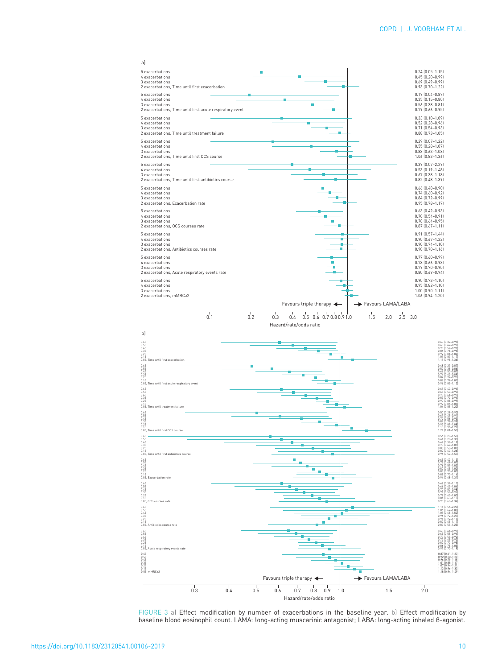<span id="page-9-0"></span>

FIGURE 3 a) Effect modification by number of exacerbations in the baseline year. b) Effect modification by baseline blood eosinophil count. LAMA: long-acting muscarinic antagonist; LABA: long-acting inhaled β-agonist.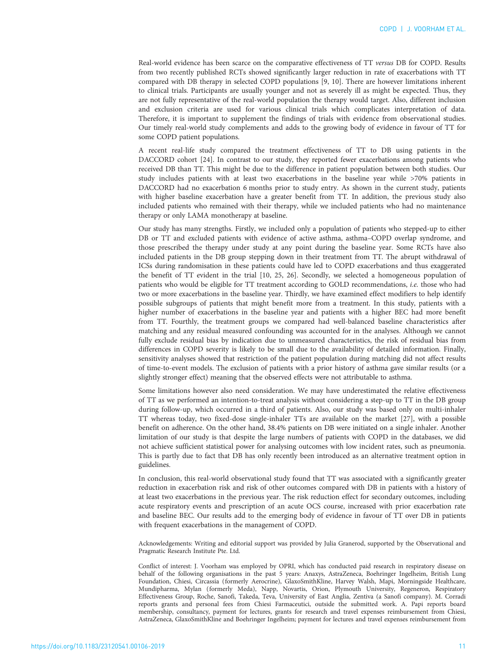Real-world evidence has been scarce on the comparative effectiveness of TT versus DB for COPD. Results from two recently published RCTs showed significantly larger reduction in rate of exacerbations with TT compared with DB therapy in selected COPD populations [\[9, 10](#page-12-0)]. There are however limitations inherent to clinical trials. Participants are usually younger and not as severely ill as might be expected. Thus, they are not fully representative of the real-world population the therapy would target. Also, different inclusion and exclusion criteria are used for various clinical trials which complicates interpretation of data. Therefore, it is important to supplement the findings of trials with evidence from observational studies. Our timely real-world study complements and adds to the growing body of evidence in favour of TT for some COPD patient populations.

A recent real-life study compared the treatment effectiveness of TT to DB using patients in the DACCORD cohort [[24](#page-12-0)]. In contrast to our study, they reported fewer exacerbations among patients who received DB than TT. This might be due to the difference in patient population between both studies. Our study includes patients with at least two exacerbations in the baseline year while >70% patients in DACCORD had no exacerbation 6 months prior to study entry. As shown in the current study, patients with higher baseline exacerbation have a greater benefit from TT. In addition, the previous study also included patients who remained with their therapy, while we included patients who had no maintenance therapy or only LAMA monotherapy at baseline.

Our study has many strengths. Firstly, we included only a population of patients who stepped-up to either DB or TT and excluded patients with evidence of active asthma, asthma–COPD overlap syndrome, and those prescribed the therapy under study at any point during the baseline year. Some RCTs have also included patients in the DB group stepping down in their treatment from TT. The abrupt withdrawal of ICSs during randomisation in these patients could have led to COPD exacerbations and thus exaggerated the benefit of TT evident in the trial [\[10](#page-12-0), [25](#page-12-0), [26\]](#page-12-0). Secondly, we selected a homogeneous population of patients who would be eligible for TT treatment according to GOLD recommendations, i.e. those who had two or more exacerbations in the baseline year. Thirdly, we have examined effect modifiers to help identify possible subgroups of patients that might benefit more from a treatment. In this study, patients with a higher number of exacerbations in the baseline year and patients with a higher BEC had more benefit from TT. Fourthly, the treatment groups we compared had well-balanced baseline characteristics after matching and any residual measured confounding was accounted for in the analyses. Although we cannot fully exclude residual bias by indication due to unmeasured characteristics, the risk of residual bias from differences in COPD severity is likely to be small due to the availability of detailed information. Finally, sensitivity analyses showed that restriction of the patient population during matching did not affect results of time-to-event models. The exclusion of patients with a prior history of asthma gave similar results (or a slightly stronger effect) meaning that the observed effects were not attributable to asthma.

Some limitations however also need consideration. We may have underestimated the relative effectiveness of TT as we performed an intention-to-treat analysis without considering a step-up to TT in the DB group during follow-up, which occurred in a third of patients. Also, our study was based only on multi-inhaler TT whereas today, two fixed-dose single-inhaler TTs are available on the market [\[27](#page-12-0)], with a possible benefit on adherence. On the other hand, 38.4% patients on DB were initiated on a single inhaler. Another limitation of our study is that despite the large numbers of patients with COPD in the databases, we did not achieve sufficient statistical power for analysing outcomes with low incident rates, such as pneumonia. This is partly due to fact that DB has only recently been introduced as an alternative treatment option in guidelines.

In conclusion, this real-world observational study found that TT was associated with a significantly greater reduction in exacerbation risk and risk of other outcomes compared with DB in patients with a history of at least two exacerbations in the previous year. The risk reduction effect for secondary outcomes, including acute respiratory events and prescription of an acute OCS course, increased with prior exacerbation rate and baseline BEC. Our results add to the emerging body of evidence in favour of TT over DB in patients with frequent exacerbations in the management of COPD.

Acknowledgements: Writing and editorial support was provided by Julia Granerod, supported by the Observational and Pragmatic Research Institute Pte. Ltd.

Conflict of interest: J. Voorham was employed by OPRI, which has conducted paid research in respiratory disease on behalf of the following organisations in the past 5 years: Anaxys, AstraZeneca, Boehringer Ingelheim, British Lung Foundation, Chiesi, Circassia (formerly Aerocrine), GlaxoSmithKline, Harvey Walsh, Mapi, Morningside Healthcare, Mundipharma, Mylan (formerly Meda), Napp, Novartis, Orion, Plymouth University, Regeneron, Respiratory Effectiveness Group, Roche, Sanofi, Takeda, Teva, University of East Anglia, Zentiva (a Sanofi company). M. Corradi reports grants and personal fees from Chiesi Farmaceutici, outside the submitted work. A. Papi reports board membership, consultancy, payment for lectures, grants for research and travel expenses reimbursement from Chiesi, AstraZeneca, GlaxoSmithKline and Boehringer Ingelheim; payment for lectures and travel expenses reimbursement from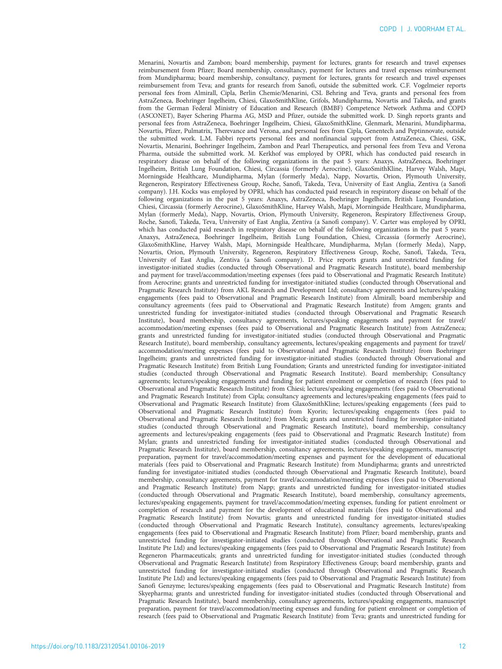Menarini, Novartis and Zambon; board membership, payment for lectures, grants for research and travel expenses reimbursement from Pfizer; Board membership, consultancy, payment for lectures and travel expenses reimbursement from Mundipharma; board membership, consultancy, payment for lectures, grants for research and travel expenses reimbursement from Teva; and grants for research from Sanofi, outside the submitted work. C.F. Vogelmeier reports personal fees from Almirall, Cipla, Berlin Chemie/Menarini, CSL Behring and Teva, grants and personal fees from AstraZeneca, Boehringer Ingelheim, Chiesi, GlaxoSmithKline, Grifols, Mundipharma, Novartis and Takeda, and grants from the German Federal Ministry of Education and Research (BMBF) Competence Network Asthma and COPD (ASCONET), Bayer Schering Pharma AG, MSD and Pfizer, outside the submitted work. D. Singh reports grants and personal fees from AstraZeneca, Boehringer Ingelheim, Chiesi, GlaxoSmithKline, Glenmark, Menarini, Mundipharma, Novartis, Pfizer, Pulmatrix, Therevance and Verona, and personal fees from Cipla, Genentech and Peptinnovate, outside the submitted work. L.M. Fabbri reports personal fees and nonfinancial support from AstraZeneca, Chiesi, GSK, Novartis, Menarini, Boehringer Ingelheim, Zambon and Pearl Therapeutics, and personal fees from Teva and Verona Pharma, outside the submitted work. M. Kerkhof was employed by OPRI, which has conducted paid research in respiratory disease on behalf of the following organizations in the past 5 years: Anaxys, AstraZeneca, Boehringer Ingelheim, British Lung Foundation, Chiesi, Circassia (formerly Aerocrine), GlaxoSmithKline, Harvey Walsh, Mapi, Morningside Healthcare, Mundipharma, Mylan (formerly Meda), Napp, Novartis, Orion, Plymouth University, Regeneron, Respiratory Effectiveness Group, Roche, Sanofi, Takeda, Teva, University of East Anglia, Zentiva (a Sanofi company). J.H. Kocks was employed by OPRI, which has conducted paid research in respiratory disease on behalf of the following organizations in the past 5 years: Anaxys, AstraZeneca, Boehringer Ingelheim, British Lung Foundation, Chiesi, Circassia (formerly Aerocrine), GlaxoSmithKline, Harvey Walsh, Mapi, Morningside Healthcare, Mundipharma, Mylan (formerly Meda), Napp, Novartis, Orion, Plymouth University, Regeneron, Respiratory Effectiveness Group, Roche, Sanofi, Takeda, Teva, University of East Anglia, Zentiva (a Sanofi company). V. Carter was employed by OPRI, which has conducted paid research in respiratory disease on behalf of the following organizations in the past 5 years: Anaxys, AstraZeneca, Boehringer Ingelheim, British Lung Foundation, Chiesi, Circassia (formerly Aerocrine), GlaxoSmithKline, Harvey Walsh, Mapi, Morningside Healthcare, Mundipharma, Mylan (formerly Meda), Napp, Novartis, Orion, Plymouth University, Regeneron, Respiratory Effectiveness Group, Roche, Sanofi, Takeda, Teva, University of East Anglia, Zentiva (a Sanofi company). D. Price reports grants and unrestricted funding for investigator-initiated studies (conducted through Observational and Pragmatic Research Institute), board membership and payment for travel/accommodation/meeting expenses (fees paid to Observational and Pragmatic Research Institute) from Aerocrine; grants and unrestricted funding for investigator-initiated studies (conducted through Observational and Pragmatic Research Institute) from AKL Research and Development Ltd; consultancy agreements and lectures/speaking engagements (fees paid to Observational and Pragmatic Research Institute) from Almirall; board membership and consultancy agreements (fees paid to Observational and Pragmatic Research Institute) from Amgen; grants and unrestricted funding for investigator-initiated studies (conducted through Observational and Pragmatic Research Institute), board membership, consultancy agreements, lectures/speaking engagements and payment for travel/ accommodation/meeting expenses (fees paid to Observational and Pragmatic Research Institute) from AstraZeneca; grants and unrestricted funding for investigator-initiated studies (conducted through Observational and Pragmatic Research Institute), board membership, consultancy agreements, lectures/speaking engagements and payment for travel/ accommodation/meeting expenses (fees paid to Observational and Pragmatic Research Institute) from Boehringer Ingelheim; grants and unrestricted funding for investigator-initiated studies (conducted through Observational and Pragmatic Research Institute) from British Lung Foundation; Grants and unrestricted funding for investigator-initiated studies (conducted through Observational and Pragmatic Research Institute). Board membership; Consultancy agreements; lectures/speaking engagements and funding for patient enrolment or completion of research (fees paid to Observational and Pragmatic Research Institute) from Chiesi; lectures/speaking engagements (fees paid to Observational and Pragmatic Research Institute) from Cipla; consultancy agreements and lectures/speaking engagements (fees paid to Observational and Pragmatic Research Institute) from GlaxoSmithKline; lectures/speaking engagements (fees paid to Observational and Pragmatic Research Institute) from Kyorin; lectures/speaking engagements (fees paid to Observational and Pragmatic Research Institute) from Merck; grants and unrestricted funding for investigator-initiated studies (conducted through Observational and Pragmatic Research Institute), board membership, consultancy agreements and lectures/speaking engagements (fees paid to Observational and Pragmatic Research Institute) from Mylan; grants and unrestricted funding for investigator-initiated studies (conducted through Observational and Pragmatic Research Institute), board membership, consultancy agreements, lectures/speaking engagements, manuscript preparation, payment for travel/accommodation/meeting expenses and payment for the development of educational materials (fees paid to Observational and Pragmatic Research Institute) from Mundipharma; grants and unrestricted funding for investigator-initiated studies (conducted through Observational and Pragmatic Research Institute), board membership, consultancy agreements, payment for travel/accommodation/meeting expenses (fees paid to Observational and Pragmatic Research Institute) from Napp; grants and unrestricted funding for investigator-initiated studies (conducted through Observational and Pragmatic Research Institute), board membership, consultancy agreements, lectures/speaking engagements, payment for travel/accommodation/meeting expenses, funding for patient enrolment or completion of research and payment for the development of educational materials (fees paid to Observational and Pragmatic Research Institute) from Novartis; grants and unrestricted funding for investigator-initiated studies (conducted through Observational and Pragmatic Research Institute), consultancy agreements, lectures/speaking engagements (fees paid to Observational and Pragmatic Research Institute) from Pfizer; board membership, grants and unrestricted funding for investigator-initiated studies (conducted through Observational and Pragmatic Research Institute Pte Ltd) and lectures/speaking engagements (fees paid to Observational and Pragmatic Research Institute) from Regeneron Pharmaceuticals; grants and unrestricted funding for investigator-initiated studies (conducted through Observational and Pragmatic Research Institute) from Respiratory Effectiveness Group; board membership, grants and unrestricted funding for investigator-initiated studies (conducted through Observational and Pragmatic Research Institute Pte Ltd) and lectures/speaking engagements (fees paid to Observational and Pragmatic Research Institute) from Sanofi Genzyme; lectures/speaking engagements (fees paid to Observational and Pragmatic Research Institute) from Skyepharma; grants and unrestricted funding for investigator-initiated studies (conducted through Observational and Pragmatic Research Institute), board membership, consultancy agreements, lectures/speaking engagements, manuscript preparation, payment for travel/accommodation/meeting expenses and funding for patient enrolment or completion of research (fees paid to Observational and Pragmatic Research Institute) from Teva; grants and unrestricted funding for